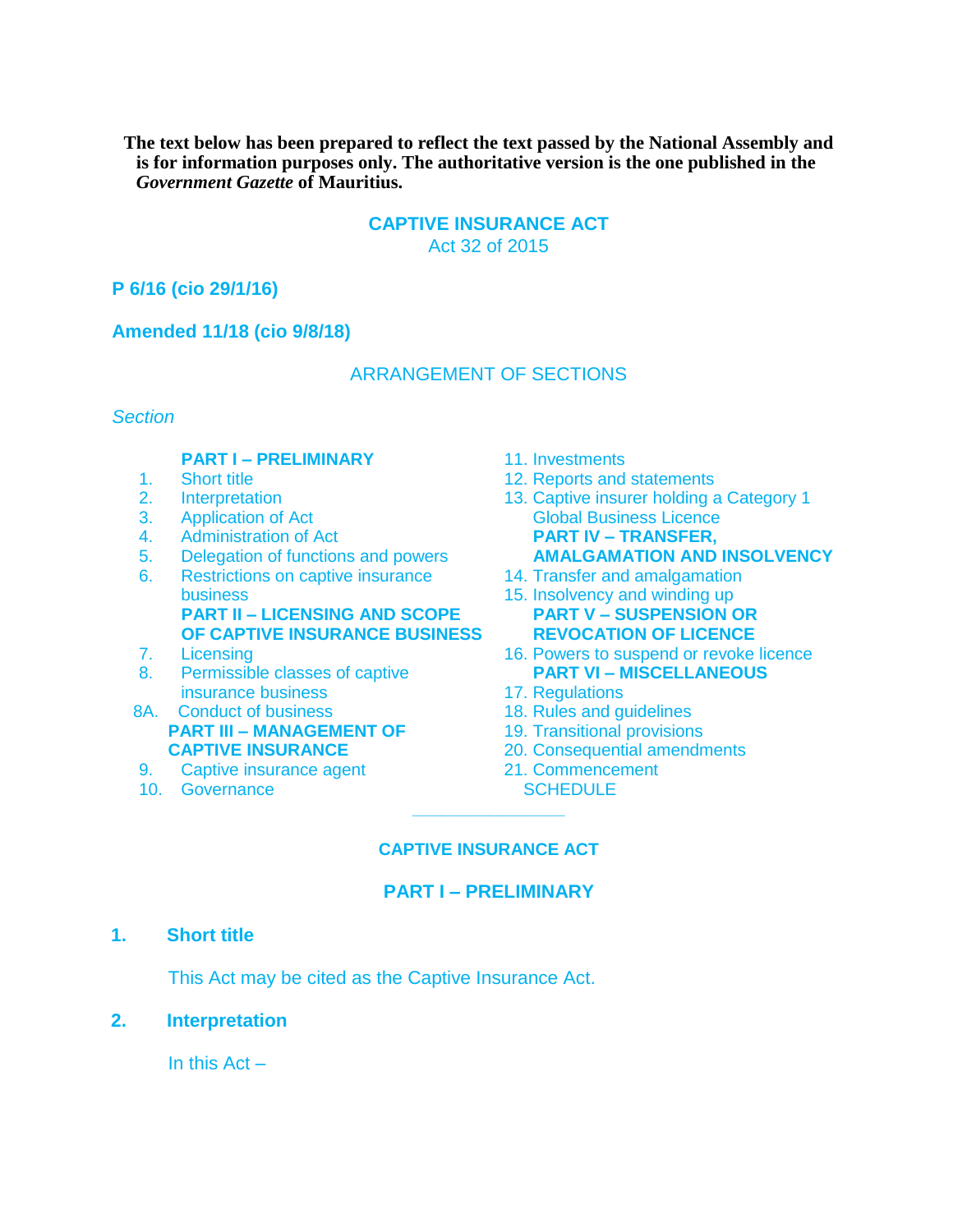**The text below has been prepared to reflect the text passed by the National Assembly and is for information purposes only. The authoritative version is the one published in the**  *Government Gazette* **of Mauritius.**

#### **CAPTIVE INSURANCE ACT**  Act 32 of 2015

#### **P 6/16 (cio 29/1/16)**

#### **Amended 11/18 (cio 9/8/18)**

#### ARRANGEMENT OF SECTIONS

#### *Section*

#### **PART I – PRELIMINARY** 11. Investments

- 
- 
- 
- 
- 
- 6. Restrictions on captive insurance 14. Transfer and amalgamation business **15. Insolvency and winding up PART II – LICENSING AND SCOPE PART V – SUSPENSION OR**
- 
- 8. Permissible classes of captive insurance business 17. Regulations
- 8A. Conduct of business 18. Rules and guidelines **PART III – MANAGEMENT OF 19. Transitional provisions**
- 9. Captive insurance agent 21. Commencement
- 10. Governance SCHEDULE
- 
- 1. Short title 12. Reports and statements
- 2. Interpretation 13. Captive insurer holding a Category 1 3. Application of Act Global Business Licence 4. Administration of Act **PART IV – TRANSFER,**  5. Delegation of functions and powers **AMALGAMATION AND INSOLVENCY** 
	-
	- **OF CAPTIVE INSURANCE BUSINESS REVOCATION OF LICENCE**
- 7. Licensing 16. Powers to suspend or revoke licence<br>8. Permissible classes of captive **PART VI MISCELLANEOUS** 
	-
	-
	-
	- **CAPTIVE INSURANCE** 20. Consequential amendments
		-

#### **CAPTIVE INSURANCE ACT**

**\_\_\_\_\_\_\_\_\_\_\_\_\_\_\_\_** 

#### **PART I – PRELIMINARY**

#### **1. Short title**

This Act may be cited as the Captive Insurance Act.

#### **2. Interpretation**

In this  $Act -$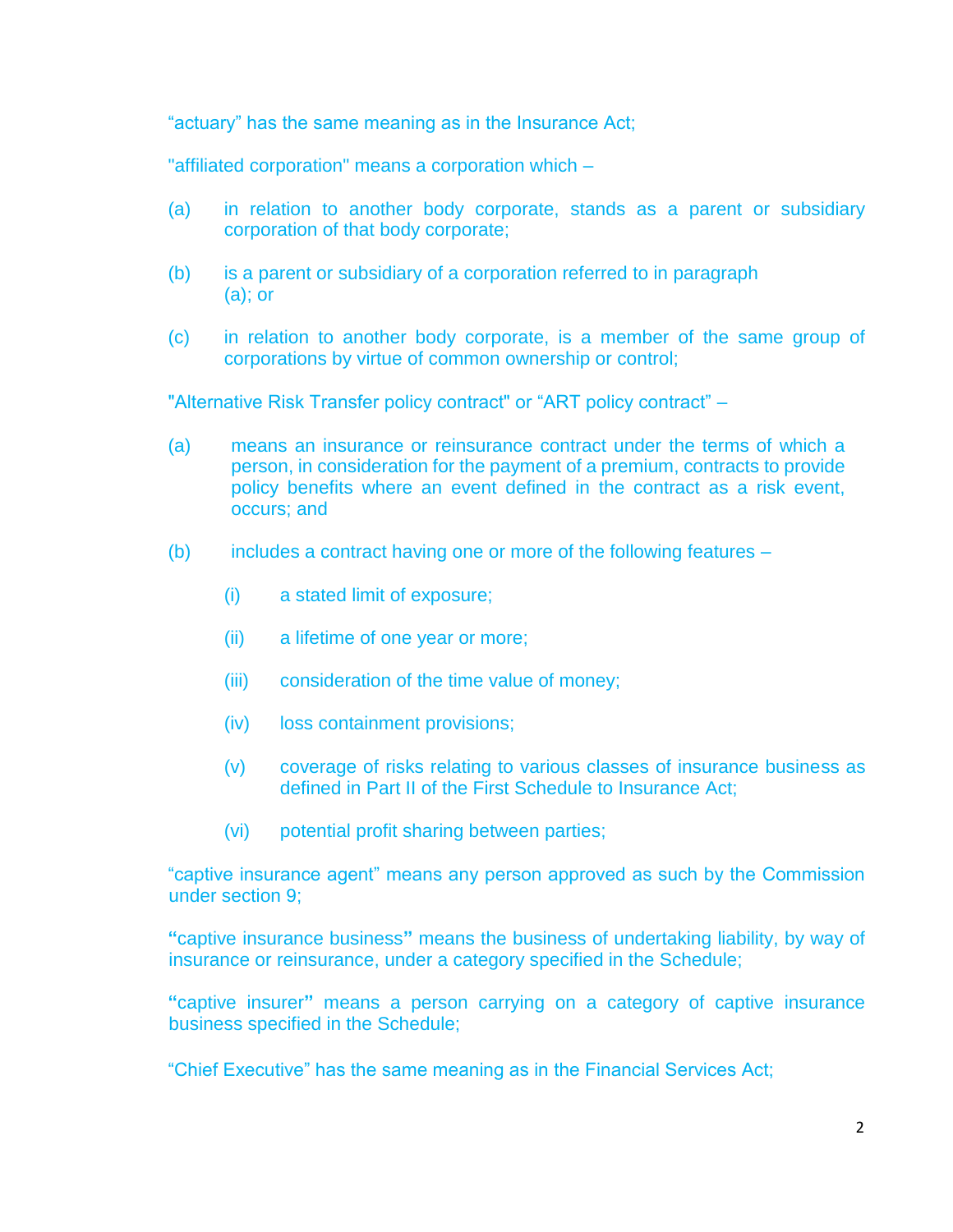"actuary" has the same meaning as in the Insurance Act;

"affiliated corporation" means a corporation which –

- (a) in relation to another body corporate, stands as a parent or subsidiary corporation of that body corporate;
- (b) is a parent or subsidiary of a corporation referred to in paragraph (a); or
- (c) in relation to another body corporate, is a member of the same group of corporations by virtue of common ownership or control;

"Alternative Risk Transfer policy contract" or "ART policy contract" –

- (a) means an insurance or reinsurance contract under the terms of which a person, in consideration for the payment of a premium, contracts to provide policy benefits where an event defined in the contract as a risk event, occurs; and
- (b) includes a contract having one or more of the following features
	- (i) a stated limit of exposure;
	- (ii) a lifetime of one year or more;
	- (iii) consideration of the time value of money;
	- (iv) loss containment provisions;
	- (v) coverage of risks relating to various classes of insurance business as defined in Part II of the First Schedule to Insurance Act;
	- (vi) potential profit sharing between parties;

"captive insurance agent" means any person approved as such by the Commission under section 9;

**"**captive insurance business**"** means the business of undertaking liability, by way of insurance or reinsurance, under a category specified in the Schedule;

**"**captive insurer**"** means a person carrying on a category of captive insurance business specified in the Schedule;

"Chief Executive" has the same meaning as in the Financial Services Act;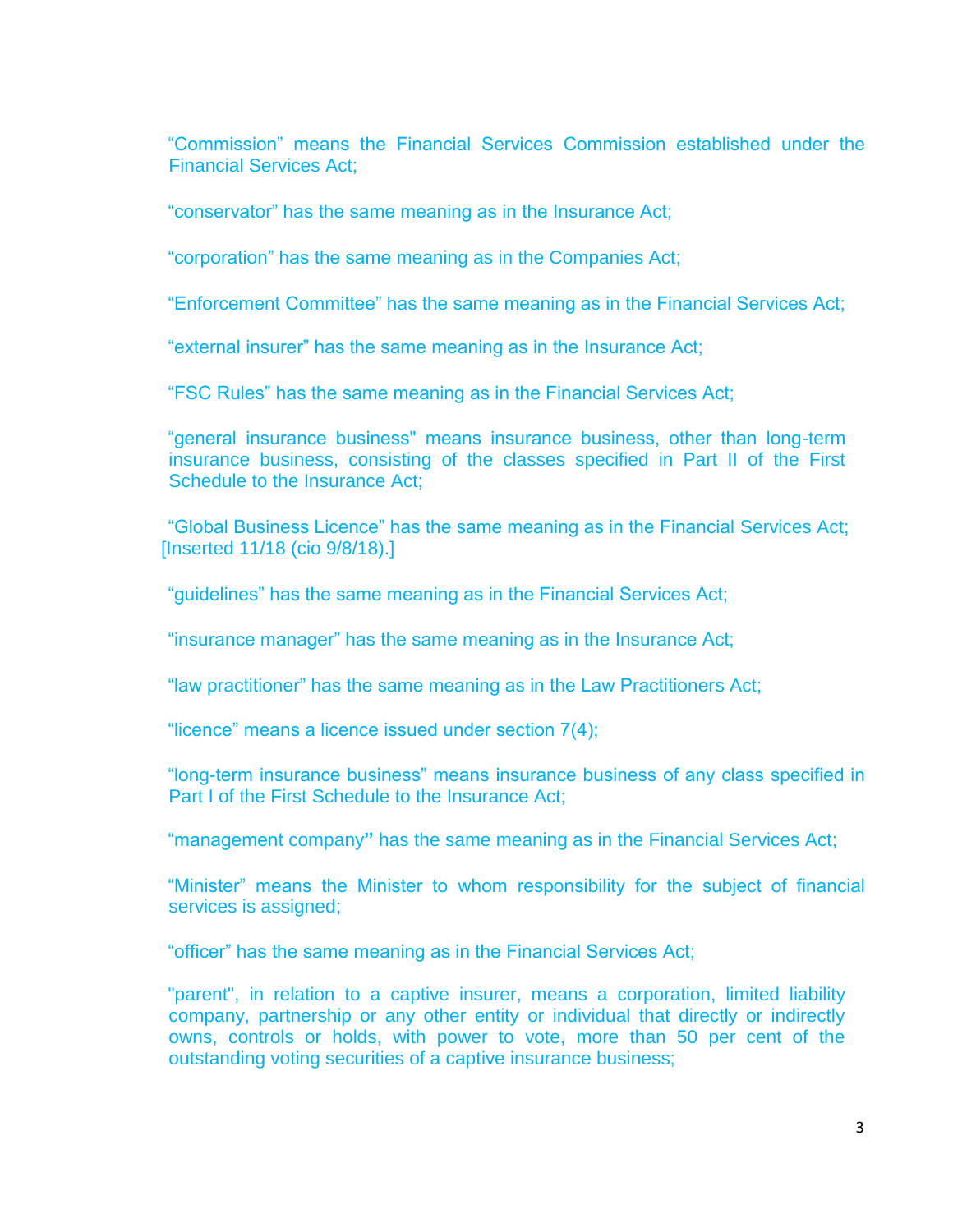"Commission" means the Financial Services Commission established under the Financial Services Act;

"conservator" has the same meaning as in the Insurance Act;

"corporation" has the same meaning as in the Companies Act;

"Enforcement Committee" has the same meaning as in the Financial Services Act;

"external insurer" has the same meaning as in the Insurance Act;

"FSC Rules" has the same meaning as in the Financial Services Act;

"general insurance business" means insurance business, other than long-term insurance business, consisting of the classes specified in Part II of the First Schedule to the Insurance Act;

"Global Business Licence" has the same meaning as in the Financial Services Act; [Inserted 11/18 (cio 9/8/18).]

"guidelines" has the same meaning as in the Financial Services Act;

"insurance manager" has the same meaning as in the Insurance Act;

"law practitioner" has the same meaning as in the Law Practitioners Act;

"licence" means a licence issued under section 7(4);

"long-term insurance business" means insurance business of any class specified in Part I of the First Schedule to the Insurance Act;

"management company**"** has the same meaning as in the Financial Services Act;

"Minister" means the Minister to whom responsibility for the subject of financial services is assigned;

"officer" has the same meaning as in the Financial Services Act;

"parent", in relation to a captive insurer, means a corporation, limited liability company, partnership or any other entity or individual that directly or indirectly owns, controls or holds, with power to vote, more than 50 per cent of the outstanding voting securities of a captive insurance business;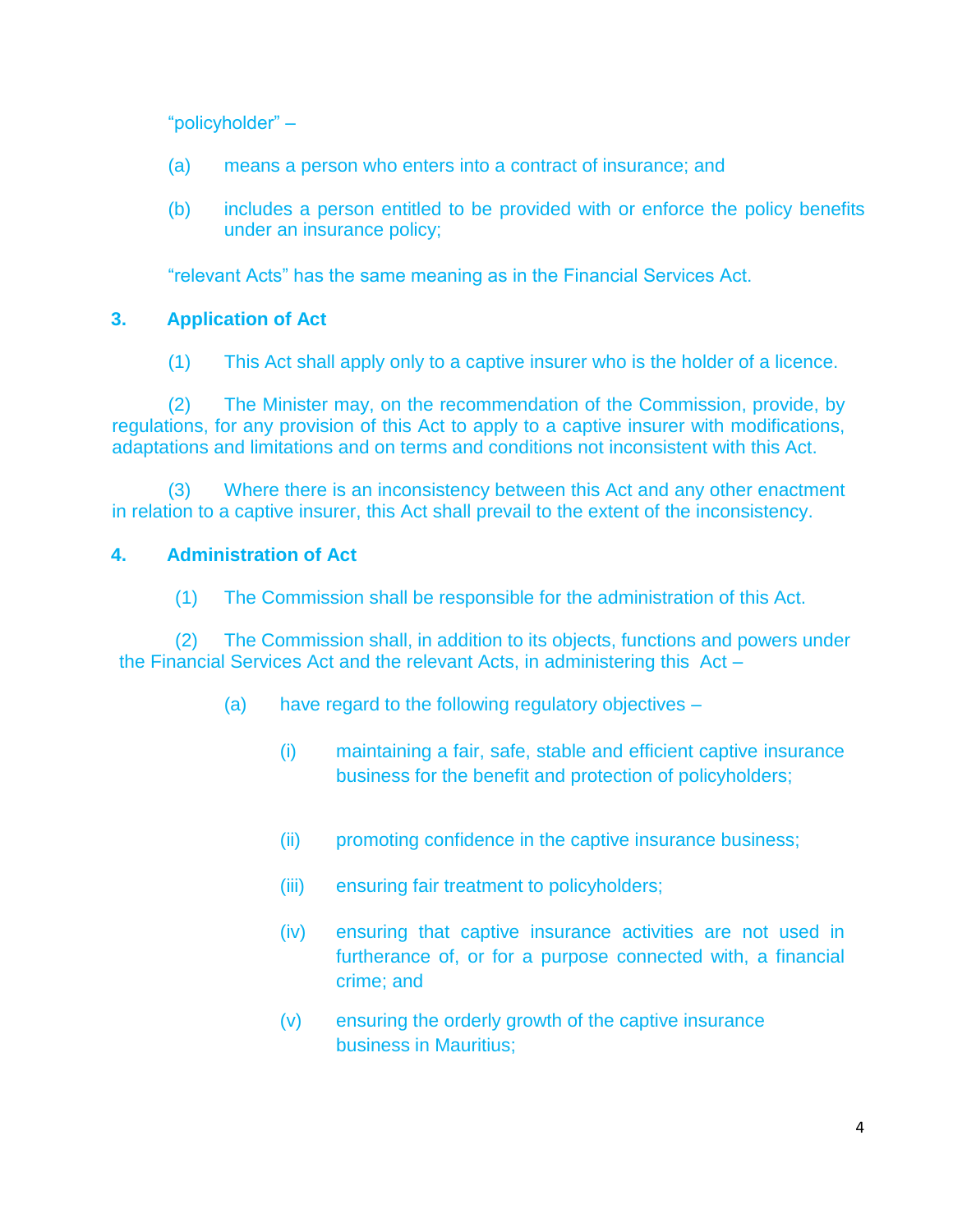"policyholder" –

- (a) means a person who enters into a contract of insurance; and
- (b) includes a person entitled to be provided with or enforce the policy benefits under an insurance policy;

"relevant Acts" has the same meaning as in the Financial Services Act.

# **3. Application of Act**

(1) This Act shall apply only to a captive insurer who is the holder of a licence.

(2) The Minister may, on the recommendation of the Commission, provide, by regulations, for any provision of this Act to apply to a captive insurer with modifications, adaptations and limitations and on terms and conditions not inconsistent with this Act.

(3) Where there is an inconsistency between this Act and any other enactment in relation to a captive insurer, this Act shall prevail to the extent of the inconsistency.

# **4. Administration of Act**

(1) The Commission shall be responsible for the administration of this Act.

(2) The Commission shall, in addition to its objects, functions and powers under the Financial Services Act and the relevant Acts, in administering this Act –

- (a) have regard to the following regulatory objectives
	- (i) maintaining a fair, safe, stable and efficient captive insurance business for the benefit and protection of policyholders;
	- (ii) promoting confidence in the captive insurance business;
	- (iii) ensuring fair treatment to policyholders;
	- (iv) ensuring that captive insurance activities are not used in furtherance of, or for a purpose connected with, a financial crime; and
	- (v) ensuring the orderly growth of the captive insurance business in Mauritius;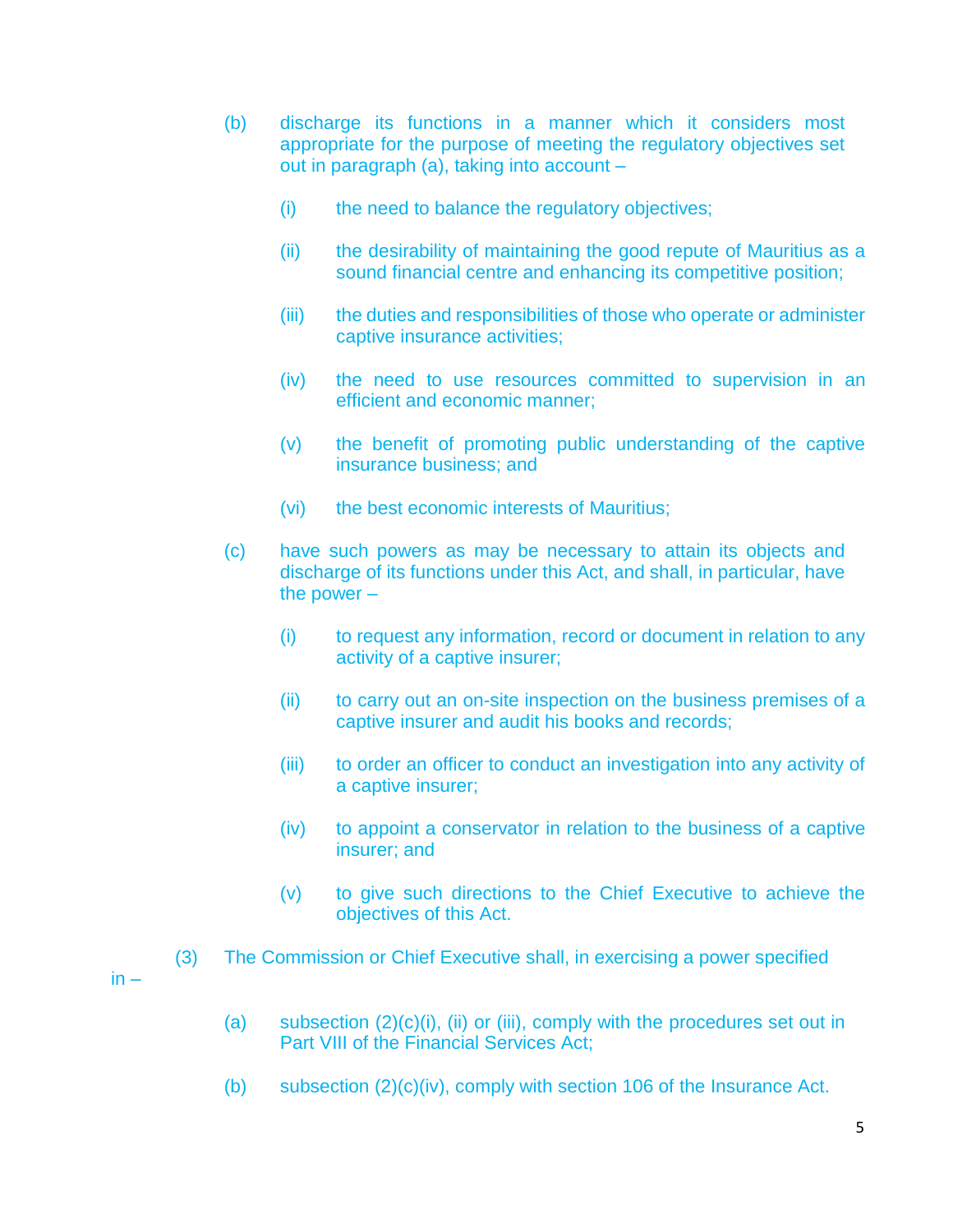- (b) discharge its functions in a manner which it considers most appropriate for the purpose of meeting the regulatory objectives set out in paragraph (a), taking into account –
	- (i) the need to balance the regulatory objectives;
	- (ii) the desirability of maintaining the good repute of Mauritius as a sound financial centre and enhancing its competitive position;
	- (iii) the duties and responsibilities of those who operate or administer captive insurance activities;
	- (iv) the need to use resources committed to supervision in an efficient and economic manner;
	- (v) the benefit of promoting public understanding of the captive insurance business; and
	- (vi) the best economic interests of Mauritius;
- (c) have such powers as may be necessary to attain its objects and discharge of its functions under this Act, and shall, in particular, have the power –
	- (i) to request any information, record or document in relation to any activity of a captive insurer;
	- (ii) to carry out an on-site inspection on the business premises of a captive insurer and audit his books and records;
	- (iii) to order an officer to conduct an investigation into any activity of a captive insurer;
	- (iv) to appoint a conservator in relation to the business of a captive insurer; and
	- (v) to give such directions to the Chief Executive to achieve the objectives of this Act.
- (3) The Commission or Chief Executive shall, in exercising a power specified

 $in -$ 

- (a) subsection  $(2)(c)(i)$ , (ii) or (iii), comply with the procedures set out in Part VIII of the Financial Services Act;
- (b) subsection  $(2)(c)(iv)$ , comply with section 106 of the Insurance Act.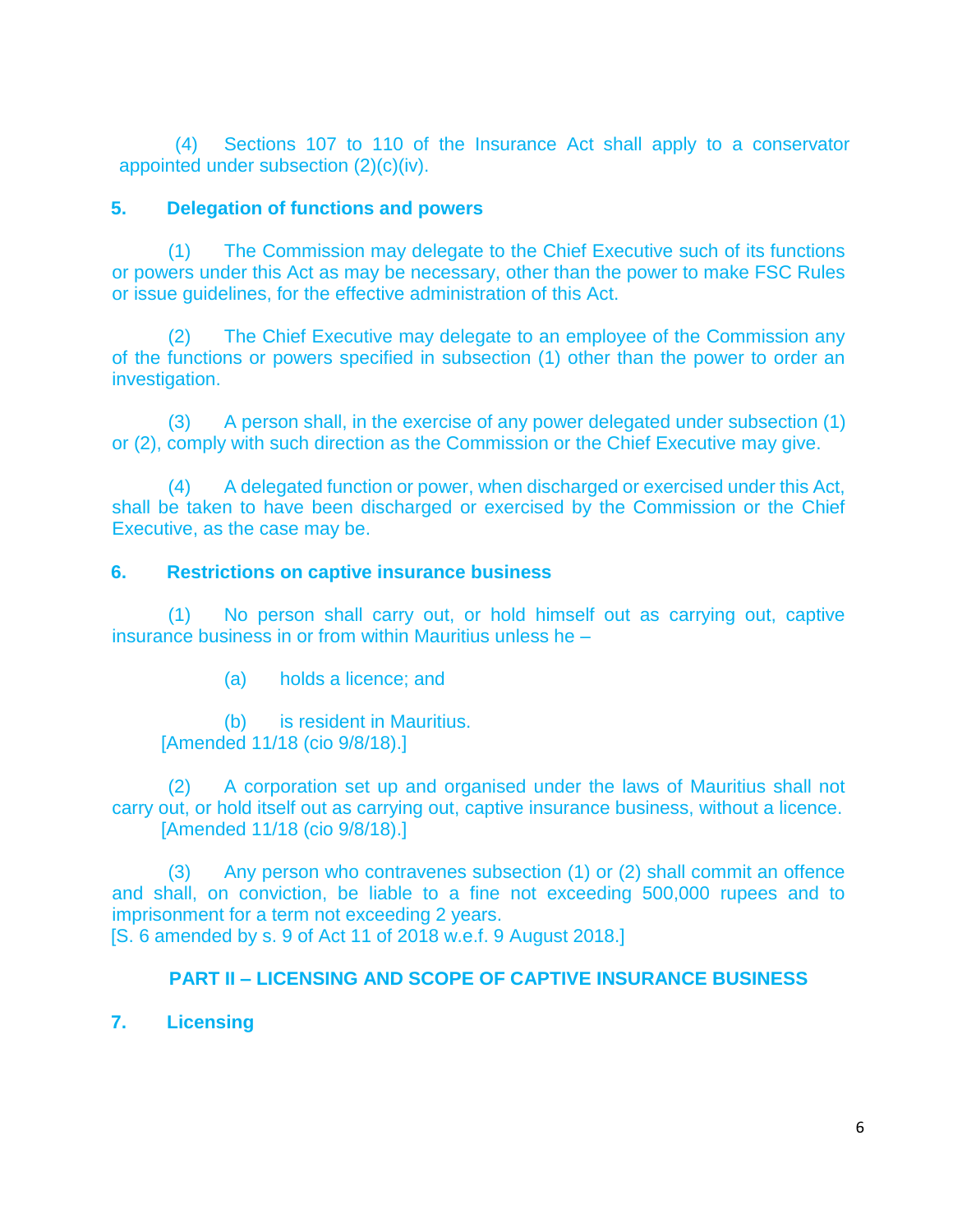(4) Sections 107 to 110 of the Insurance Act shall apply to a conservator appointed under subsection (2)(c)(iv).

### **5. Delegation of functions and powers**

(1) The Commission may delegate to the Chief Executive such of its functions or powers under this Act as may be necessary, other than the power to make FSC Rules or issue guidelines, for the effective administration of this Act.

(2) The Chief Executive may delegate to an employee of the Commission any of the functions or powers specified in subsection (1) other than the power to order an investigation.

(3) A person shall, in the exercise of any power delegated under subsection (1) or (2), comply with such direction as the Commission or the Chief Executive may give.

(4) A delegated function or power, when discharged or exercised under this Act, shall be taken to have been discharged or exercised by the Commission or the Chief Executive, as the case may be.

# **6. Restrictions on captive insurance business**

(1) No person shall carry out, or hold himself out as carrying out, captive insurance business in or from within Mauritius unless he –

(a) holds a licence; and

(b) is resident in Mauritius. [Amended 11/18 (cio 9/8/18).]

(2) A corporation set up and organised under the laws of Mauritius shall not carry out, or hold itself out as carrying out, captive insurance business, without a licence. [Amended 11/18 (cio 9/8/18).]

(3) Any person who contravenes subsection (1) or (2) shall commit an offence and shall, on conviction, be liable to a fine not exceeding 500,000 rupees and to imprisonment for a term not exceeding 2 years. [S. 6 amended by s. 9 of Act 11 of 2018 w.e.f. 9 August 2018.]

### **PART II – LICENSING AND SCOPE OF CAPTIVE INSURANCE BUSINESS**

**7. Licensing**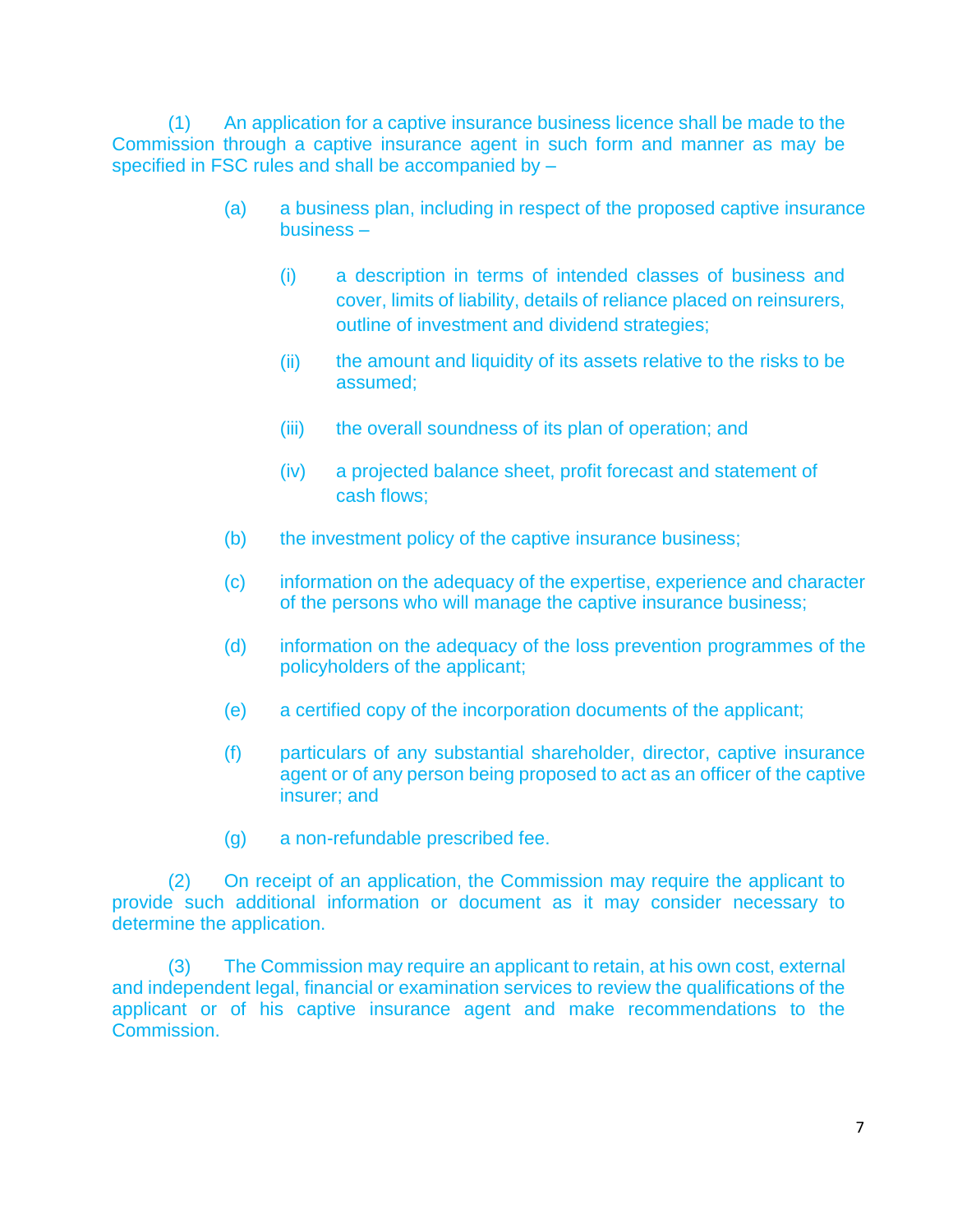(1) An application for a captive insurance business licence shall be made to the Commission through a captive insurance agent in such form and manner as may be specified in FSC rules and shall be accompanied by –

- (a) a business plan, including in respect of the proposed captive insurance business –
	- (i) a description in terms of intended classes of business and cover, limits of liability, details of reliance placed on reinsurers, outline of investment and dividend strategies;
	- (ii) the amount and liquidity of its assets relative to the risks to be assumed;
	- (iii) the overall soundness of its plan of operation; and
	- (iv) a projected balance sheet, profit forecast and statement of cash flows;
- (b) the investment policy of the captive insurance business;
- (c) information on the adequacy of the expertise, experience and character of the persons who will manage the captive insurance business;
- (d) information on the adequacy of the loss prevention programmes of the policyholders of the applicant;
- (e) a certified copy of the incorporation documents of the applicant;
- (f) particulars of any substantial shareholder, director, captive insurance agent or of any person being proposed to act as an officer of the captive insurer; and
- (g) a non-refundable prescribed fee.

(2) On receipt of an application, the Commission may require the applicant to provide such additional information or document as it may consider necessary to determine the application.

(3) The Commission may require an applicant to retain, at his own cost, external and independent legal, financial or examination services to review the qualifications of the applicant or of his captive insurance agent and make recommendations to the Commission.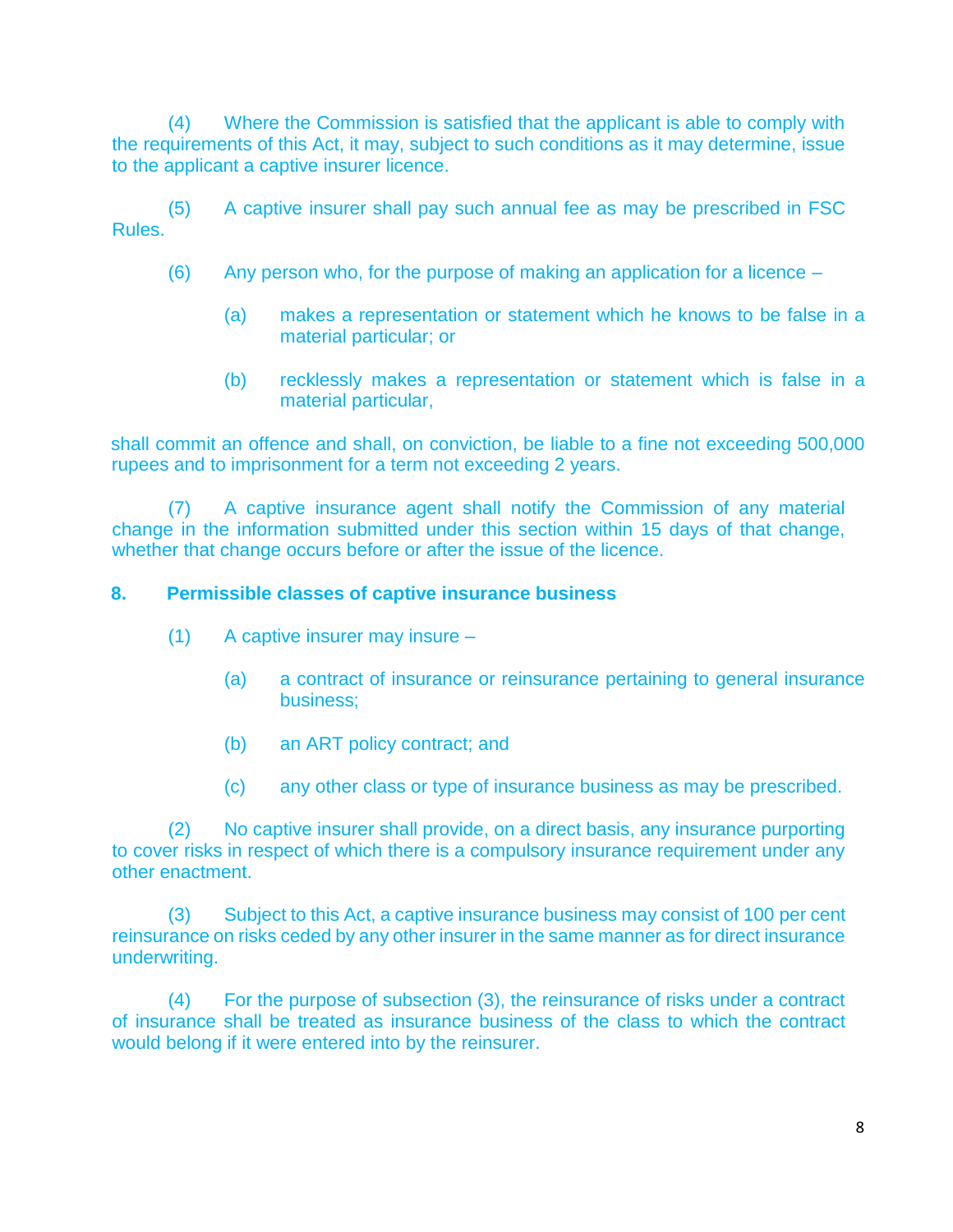(4) Where the Commission is satisfied that the applicant is able to comply with the requirements of this Act, it may, subject to such conditions as it may determine, issue to the applicant a captive insurer licence.

(5) A captive insurer shall pay such annual fee as may be prescribed in FSC Rules.

- (6) Any person who, for the purpose of making an application for a licence
	- (a) makes a representation or statement which he knows to be false in a material particular; or
	- (b) recklessly makes a representation or statement which is false in a material particular,

shall commit an offence and shall, on conviction, be liable to a fine not exceeding 500,000 rupees and to imprisonment for a term not exceeding 2 years.

(7) A captive insurance agent shall notify the Commission of any material change in the information submitted under this section within 15 days of that change, whether that change occurs before or after the issue of the licence.

# **8. Permissible classes of captive insurance business**

- (1) A captive insurer may insure
	- (a) a contract of insurance or reinsurance pertaining to general insurance business;
	- (b) an ART policy contract; and
	- (c) any other class or type of insurance business as may be prescribed.

(2) No captive insurer shall provide, on a direct basis, any insurance purporting to cover risks in respect of which there is a compulsory insurance requirement under any other enactment.

(3) Subject to this Act, a captive insurance business may consist of 100 per cent reinsurance on risks ceded by any other insurer in the same manner as for direct insurance underwriting.

(4) For the purpose of subsection (3), the reinsurance of risks under a contract of insurance shall be treated as insurance business of the class to which the contract would belong if it were entered into by the reinsurer.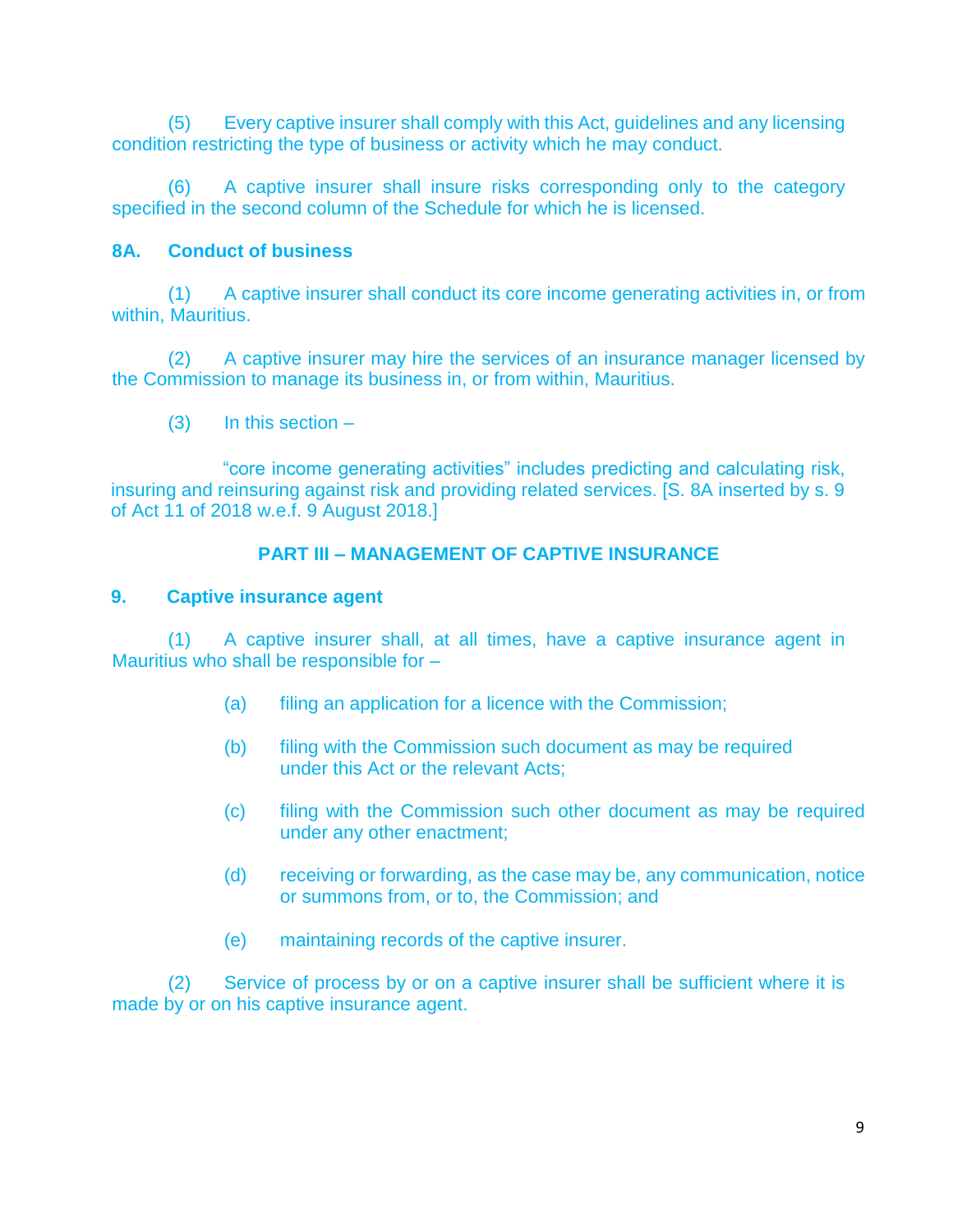(5) Every captive insurer shall comply with this Act, guidelines and any licensing condition restricting the type of business or activity which he may conduct.

(6) A captive insurer shall insure risks corresponding only to the category specified in the second column of the Schedule for which he is licensed.

# **8A. Conduct of business**

(1) A captive insurer shall conduct its core income generating activities in, or from within, Mauritius.

(2) A captive insurer may hire the services of an insurance manager licensed by the Commission to manage its business in, or from within, Mauritius.

(3) In this section –

"core income generating activities" includes predicting and calculating risk, insuring and reinsuring against risk and providing related services. [S. 8A inserted by s. 9 of Act 11 of 2018 w.e.f. 9 August 2018.]

# **PART III – MANAGEMENT OF CAPTIVE INSURANCE**

#### **9. Captive insurance agent**

(1) A captive insurer shall, at all times, have a captive insurance agent in Mauritius who shall be responsible for –

- (a) filing an application for a licence with the Commission;
- (b) filing with the Commission such document as may be required under this Act or the relevant Acts;
- (c) filing with the Commission such other document as may be required under any other enactment;
- (d) receiving or forwarding, as the case may be, any communication, notice or summons from, or to, the Commission; and
- (e) maintaining records of the captive insurer.

(2) Service of process by or on a captive insurer shall be sufficient where it is made by or on his captive insurance agent.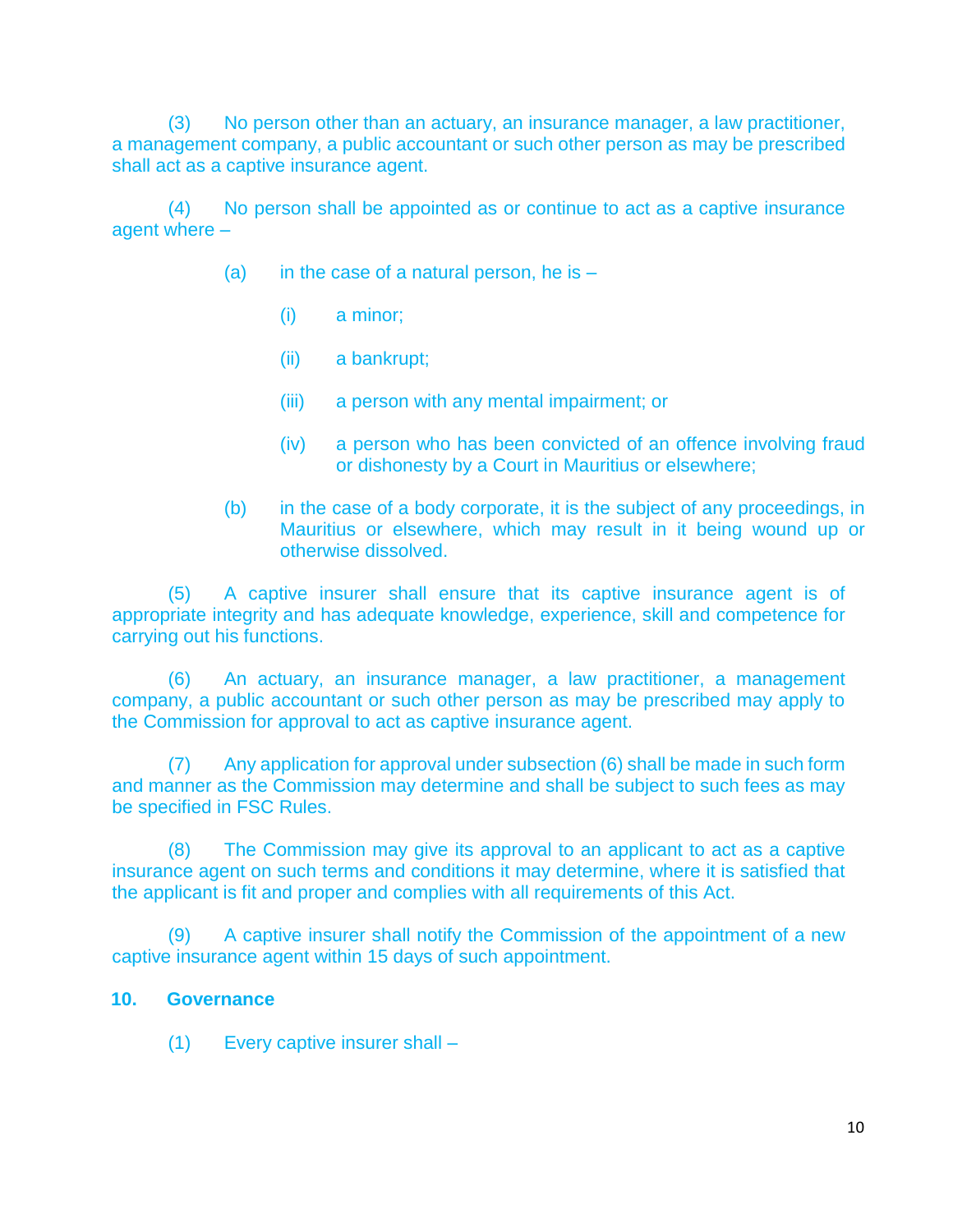(3) No person other than an actuary, an insurance manager, a law practitioner, a management company, a public accountant or such other person as may be prescribed shall act as a captive insurance agent.

(4) No person shall be appointed as or continue to act as a captive insurance agent where –

- (a) in the case of a natural person, he is  $-$ 
	- (i) a minor;
	- (ii) a bankrupt;
	- (iii) a person with any mental impairment; or
	- (iv) a person who has been convicted of an offence involving fraud or dishonesty by a Court in Mauritius or elsewhere;
- (b) in the case of a body corporate, it is the subject of any proceedings, in Mauritius or elsewhere, which may result in it being wound up or otherwise dissolved.

(5) A captive insurer shall ensure that its captive insurance agent is of appropriate integrity and has adequate knowledge, experience, skill and competence for carrying out his functions.

(6) An actuary, an insurance manager, a law practitioner, a management company, a public accountant or such other person as may be prescribed may apply to the Commission for approval to act as captive insurance agent.

(7) Any application for approval under subsection (6) shall be made in such form and manner as the Commission may determine and shall be subject to such fees as may be specified in FSC Rules.

(8) The Commission may give its approval to an applicant to act as a captive insurance agent on such terms and conditions it may determine, where it is satisfied that the applicant is fit and proper and complies with all requirements of this Act.

(9) A captive insurer shall notify the Commission of the appointment of a new captive insurance agent within 15 days of such appointment.

#### **10. Governance**

(1) Every captive insurer shall –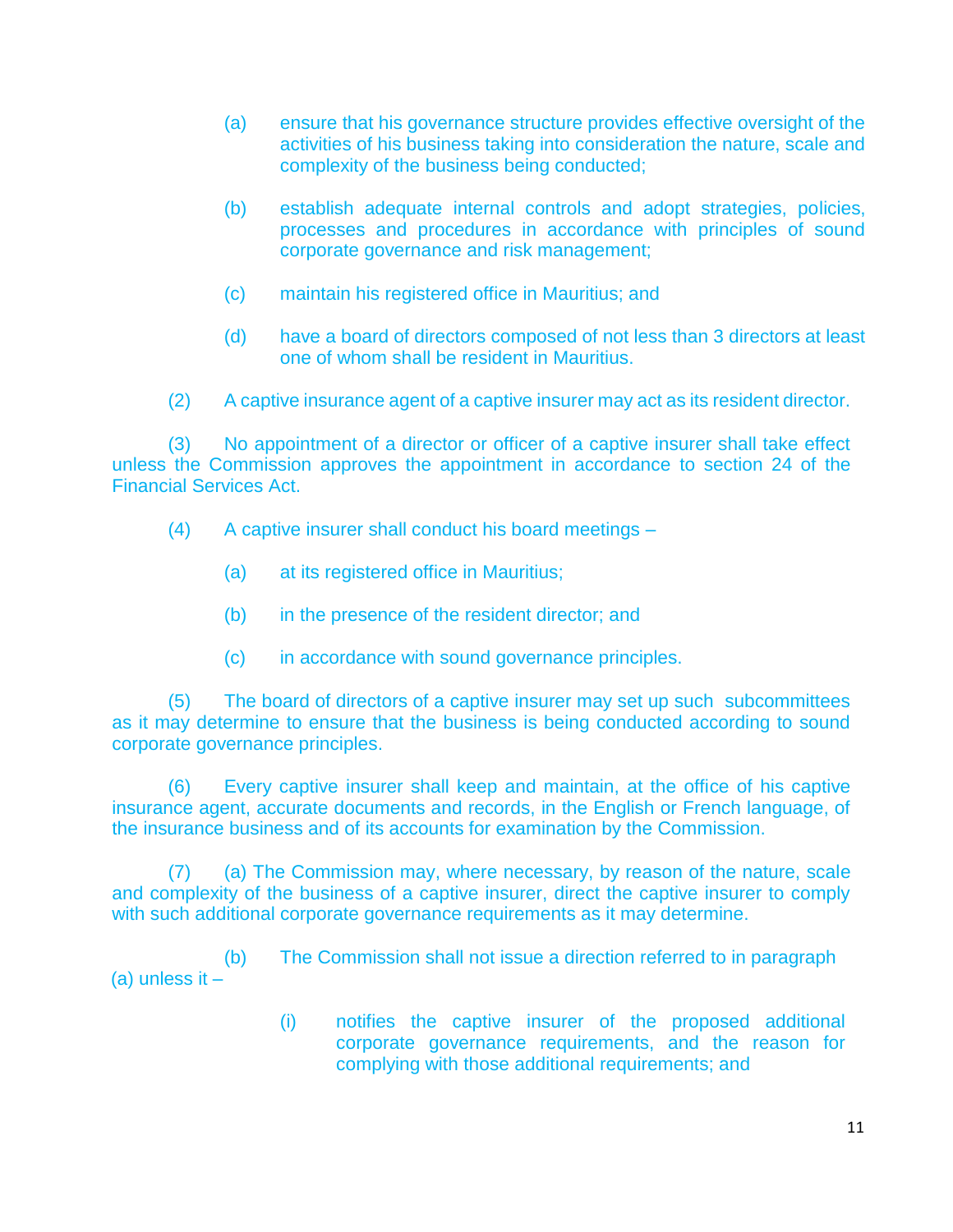- (a) ensure that his governance structure provides effective oversight of the activities of his business taking into consideration the nature, scale and complexity of the business being conducted;
- (b) establish adequate internal controls and adopt strategies, policies, processes and procedures in accordance with principles of sound corporate governance and risk management;
- (c) maintain his registered office in Mauritius; and
- (d) have a board of directors composed of not less than 3 directors at least one of whom shall be resident in Mauritius.
- (2) A captive insurance agent of a captive insurer may act as its resident director.

(3) No appointment of a director or officer of a captive insurer shall take effect unless the Commission approves the appointment in accordance to section 24 of the Financial Services Act.

- (4) A captive insurer shall conduct his board meetings
	- (a) at its registered office in Mauritius;
	- (b) in the presence of the resident director; and
	- (c) in accordance with sound governance principles.

(5) The board of directors of a captive insurer may set up such subcommittees as it may determine to ensure that the business is being conducted according to sound corporate governance principles.

(6) Every captive insurer shall keep and maintain, at the office of his captive insurance agent, accurate documents and records, in the English or French language, of the insurance business and of its accounts for examination by the Commission.

(7) (a) The Commission may, where necessary, by reason of the nature, scale and complexity of the business of a captive insurer, direct the captive insurer to comply with such additional corporate governance requirements as it may determine.

(b) The Commission shall not issue a direction referred to in paragraph (a) unless it –

> (i) notifies the captive insurer of the proposed additional corporate governance requirements, and the reason for complying with those additional requirements; and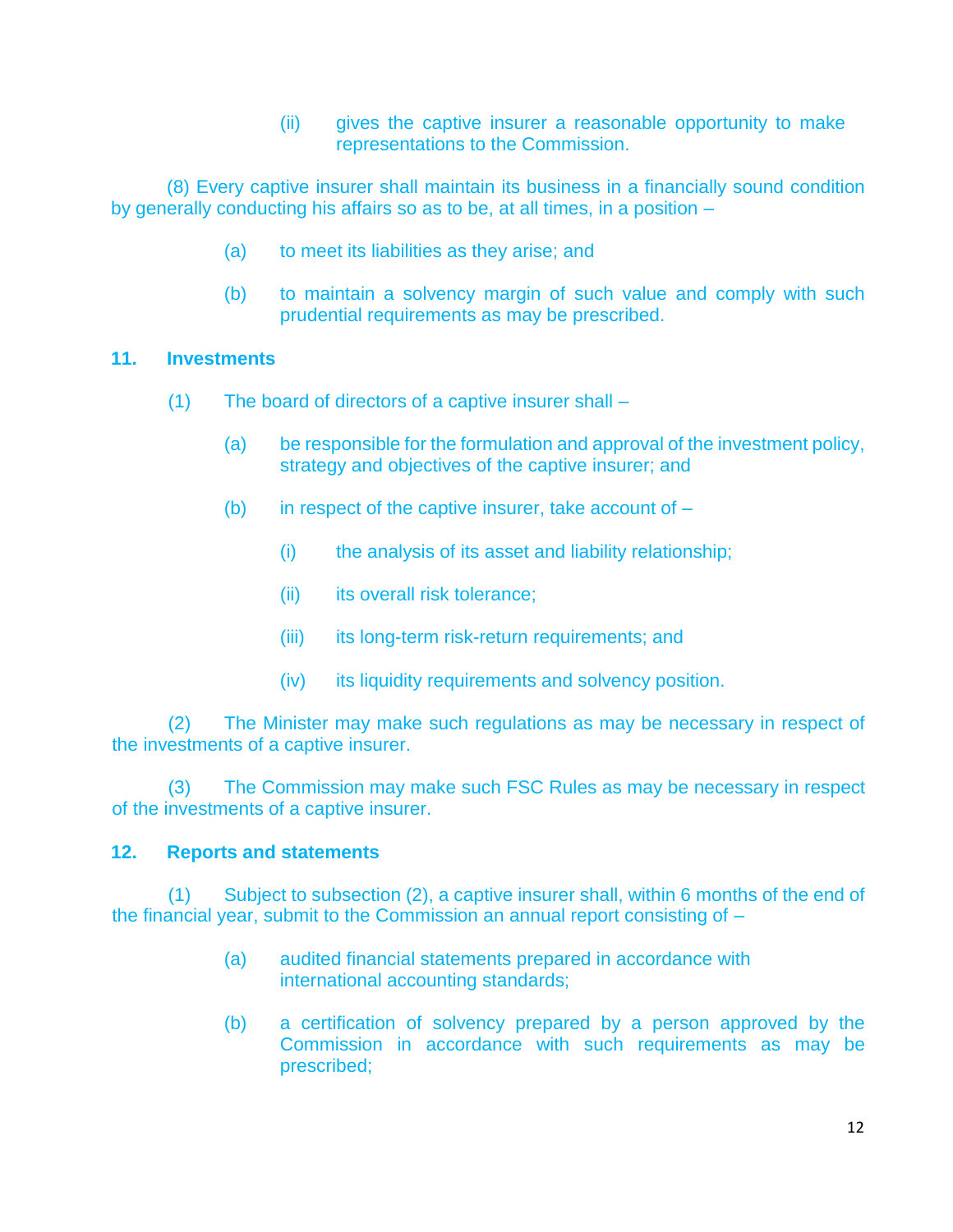(ii) gives the captive insurer a reasonable opportunity to make representations to the Commission.

(8) Every captive insurer shall maintain its business in a financially sound condition by generally conducting his affairs so as to be, at all times, in a position –

- (a) to meet its liabilities as they arise; and
- (b) to maintain a solvency margin of such value and comply with such prudential requirements as may be prescribed.

# **11. Investments**

- (1) The board of directors of a captive insurer shall
	- (a) be responsible for the formulation and approval of the investment policy, strategy and objectives of the captive insurer; and
	- (b) in respect of the captive insurer, take account of  $-$ 
		- (i) the analysis of its asset and liability relationship;
		- (ii) its overall risk tolerance;
		- (iii) its long-term risk-return requirements; and
		- (iv) its liquidity requirements and solvency position.

(2) The Minister may make such regulations as may be necessary in respect of the investments of a captive insurer.

(3) The Commission may make such FSC Rules as may be necessary in respect of the investments of a captive insurer.

#### **12. Reports and statements**

(1) Subject to subsection (2), a captive insurer shall, within 6 months of the end of the financial year, submit to the Commission an annual report consisting of –

- (a) audited financial statements prepared in accordance with international accounting standards;
- (b) a certification of solvency prepared by a person approved by the Commission in accordance with such requirements as may be prescribed;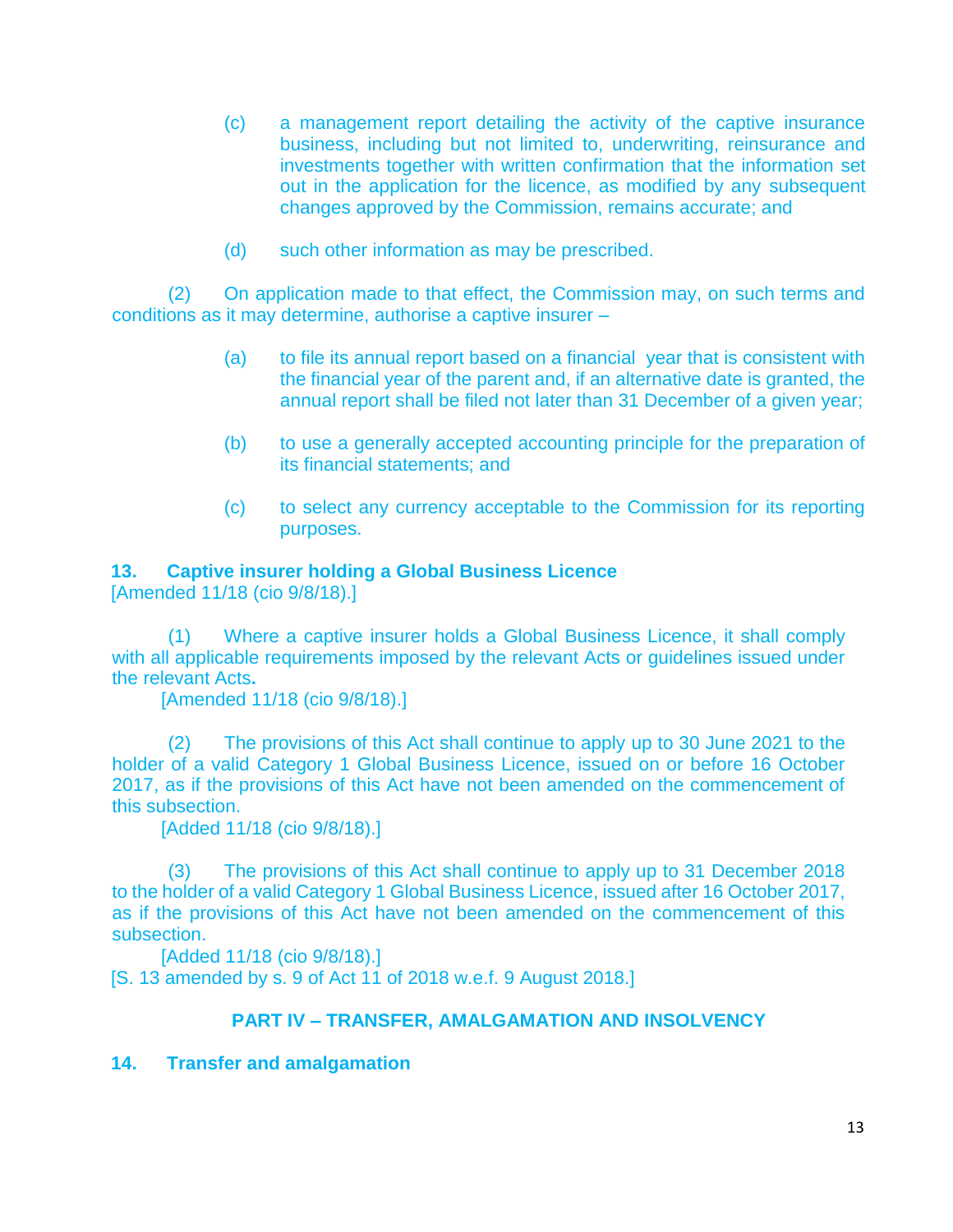- (c) a management report detailing the activity of the captive insurance business, including but not limited to, underwriting, reinsurance and investments together with written confirmation that the information set out in the application for the licence, as modified by any subsequent changes approved by the Commission, remains accurate; and
- (d) such other information as may be prescribed.

(2) On application made to that effect, the Commission may, on such terms and conditions as it may determine, authorise a captive insurer –

- (a) to file its annual report based on a financial year that is consistent with the financial year of the parent and, if an alternative date is granted, the annual report shall be filed not later than 31 December of a given year;
- (b) to use a generally accepted accounting principle for the preparation of its financial statements; and
- (c) to select any currency acceptable to the Commission for its reporting purposes.

# **13. Captive insurer holding a Global Business Licence**

[Amended 11/18 (cio 9/8/18).]

(1) Where a captive insurer holds a Global Business Licence, it shall comply with all applicable requirements imposed by the relevant Acts or guidelines issued under the relevant Acts**.** 

[Amended 11/18 (cio 9/8/18).]

(2) The provisions of this Act shall continue to apply up to 30 June 2021 to the holder of a valid Category 1 Global Business Licence, issued on or before 16 October 2017, as if the provisions of this Act have not been amended on the commencement of this subsection.

[Added 11/18 (cio 9/8/18).]

(3) The provisions of this Act shall continue to apply up to 31 December 2018 to the holder of a valid Category 1 Global Business Licence, issued after 16 October 2017, as if the provisions of this Act have not been amended on the commencement of this subsection.

[Added 11/18 (cio 9/8/18).] [S. 13 amended by s. 9 of Act 11 of 2018 w.e.f. 9 August 2018.]

#### **PART IV – TRANSFER, AMALGAMATION AND INSOLVENCY**

#### **14. Transfer and amalgamation**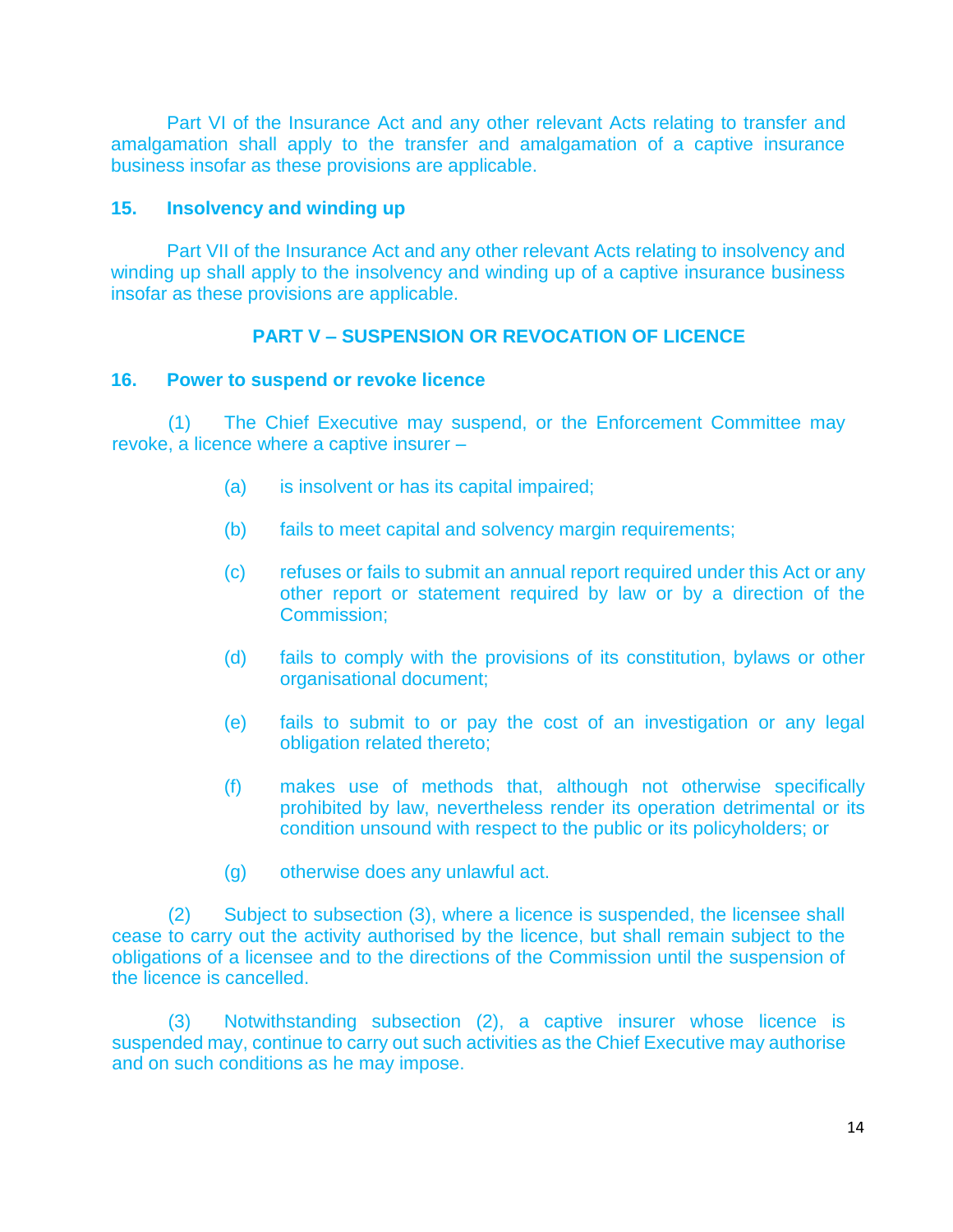Part VI of the Insurance Act and any other relevant Acts relating to transfer and amalgamation shall apply to the transfer and amalgamation of a captive insurance business insofar as these provisions are applicable.

#### **15. Insolvency and winding up**

Part VII of the Insurance Act and any other relevant Acts relating to insolvency and winding up shall apply to the insolvency and winding up of a captive insurance business insofar as these provisions are applicable.

# **PART V – SUSPENSION OR REVOCATION OF LICENCE**

#### **16. Power to suspend or revoke licence**

(1) The Chief Executive may suspend, or the Enforcement Committee may revoke, a licence where a captive insurer –

- (a) is insolvent or has its capital impaired;
- (b) fails to meet capital and solvency margin requirements;
- (c) refuses or fails to submit an annual report required under this Act or any other report or statement required by law or by a direction of the Commission;
- (d) fails to comply with the provisions of its constitution, bylaws or other organisational document;
- (e) fails to submit to or pay the cost of an investigation or any legal obligation related thereto;
- (f) makes use of methods that, although not otherwise specifically prohibited by law, nevertheless render its operation detrimental or its condition unsound with respect to the public or its policyholders; or
- (g) otherwise does any unlawful act.

(2) Subject to subsection (3), where a licence is suspended, the licensee shall cease to carry out the activity authorised by the licence, but shall remain subject to the obligations of a licensee and to the directions of the Commission until the suspension of the licence is cancelled.

(3) Notwithstanding subsection (2), a captive insurer whose licence is suspended may, continue to carry out such activities as the Chief Executive may authorise and on such conditions as he may impose.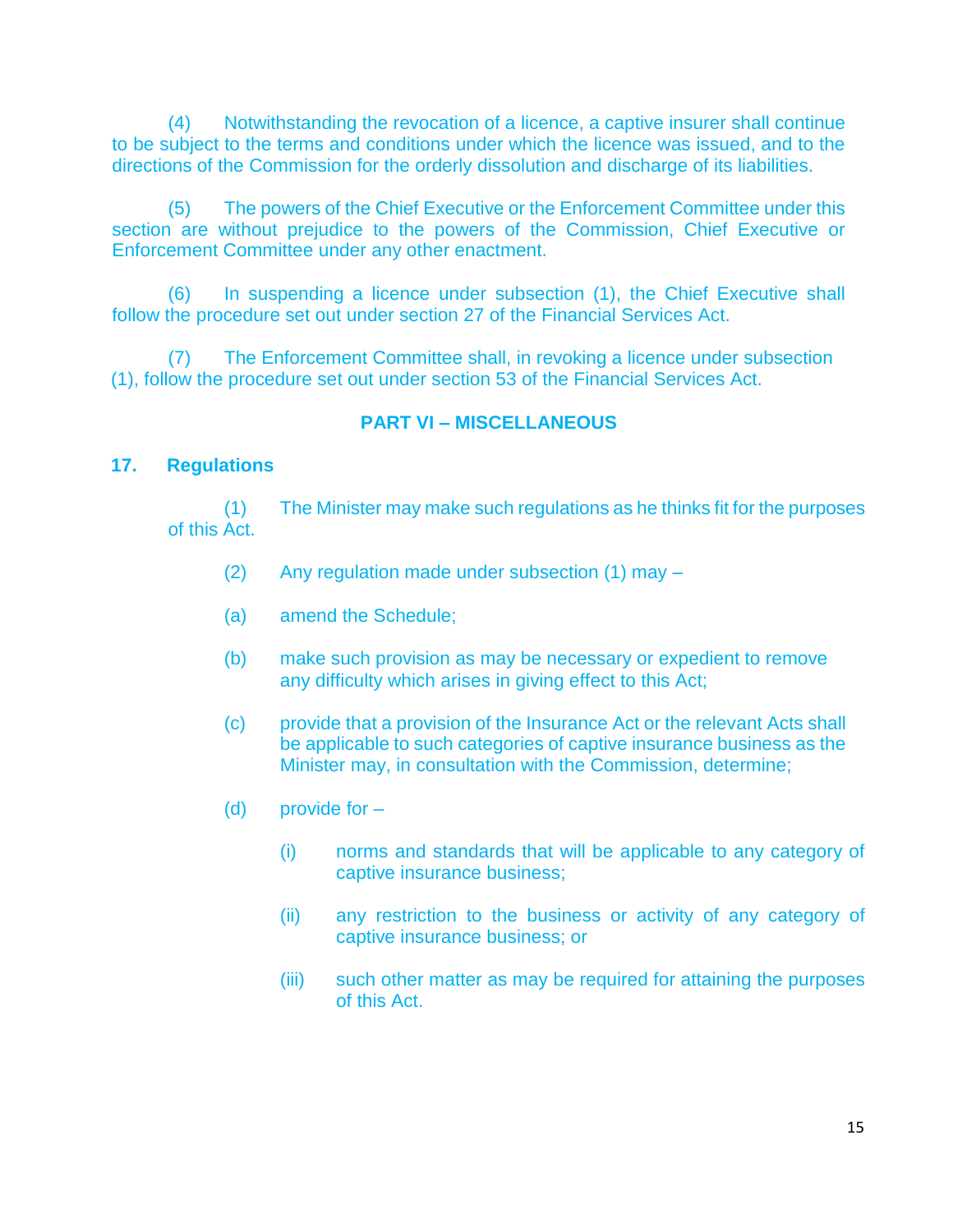(4) Notwithstanding the revocation of a licence, a captive insurer shall continue to be subject to the terms and conditions under which the licence was issued, and to the directions of the Commission for the orderly dissolution and discharge of its liabilities.

(5) The powers of the Chief Executive or the Enforcement Committee under this section are without prejudice to the powers of the Commission, Chief Executive or Enforcement Committee under any other enactment.

(6) In suspending a licence under subsection (1), the Chief Executive shall follow the procedure set out under section 27 of the Financial Services Act.

(7) The Enforcement Committee shall, in revoking a licence under subsection (1), follow the procedure set out under section 53 of the Financial Services Act.

# **PART VI – MISCELLANEOUS**

#### **17. Regulations**

(1) The Minister may make such regulations as he thinks fit for the purposes of this Act.

- (2) Any regulation made under subsection (1) may –
- (a) amend the Schedule;
- (b) make such provision as may be necessary or expedient to remove any difficulty which arises in giving effect to this Act;
- (c) provide that a provision of the Insurance Act or the relevant Acts shall be applicable to such categories of captive insurance business as the Minister may, in consultation with the Commission, determine;
- (d) provide for
	- (i) norms and standards that will be applicable to any category of captive insurance business;
	- (ii) any restriction to the business or activity of any category of captive insurance business; or
	- (iii) such other matter as may be required for attaining the purposes of this Act.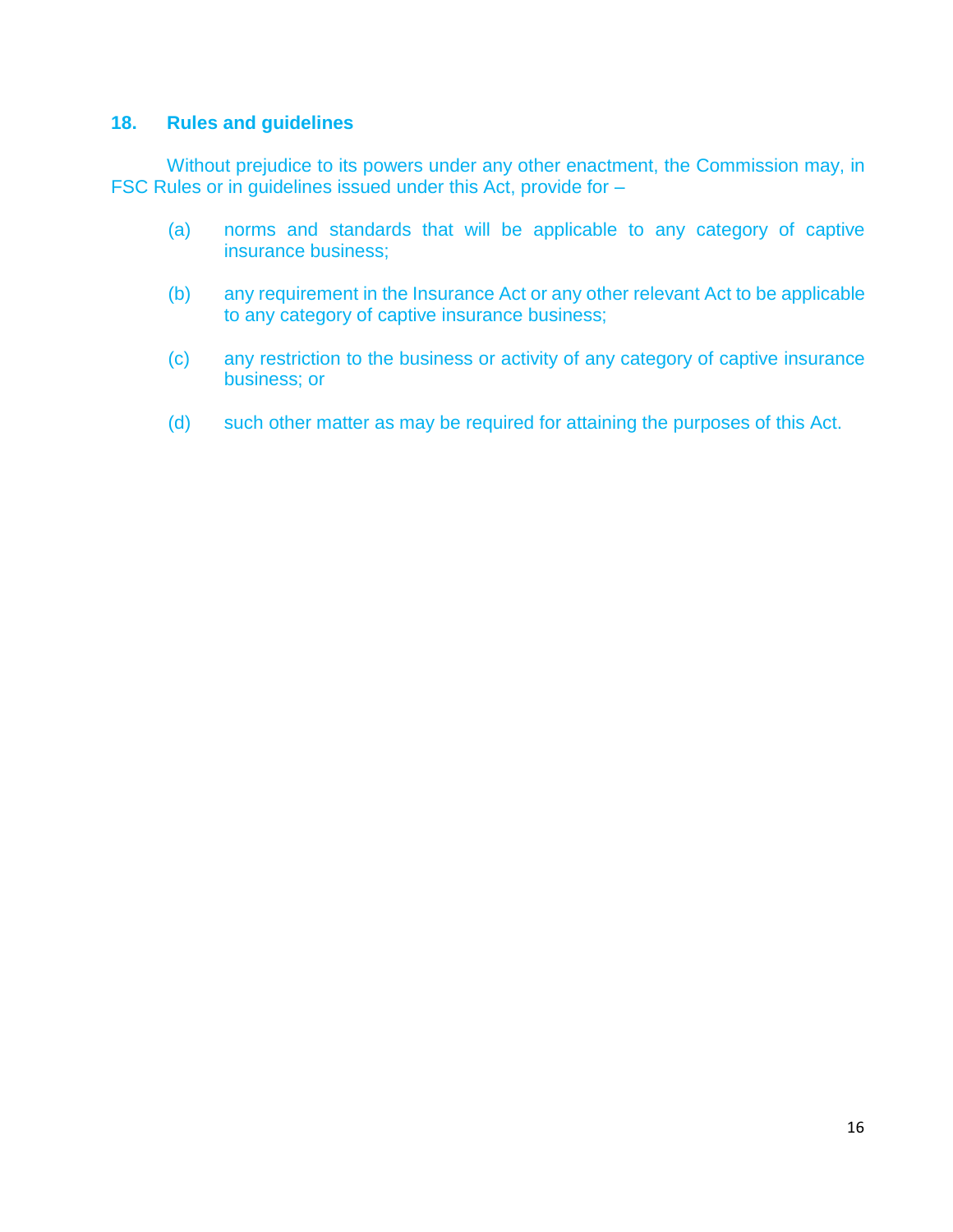# **18. Rules and guidelines**

Without prejudice to its powers under any other enactment, the Commission may, in FSC Rules or in guidelines issued under this Act, provide for –

- (a) norms and standards that will be applicable to any category of captive insurance business;
- (b) any requirement in the Insurance Act or any other relevant Act to be applicable to any category of captive insurance business;
- (c) any restriction to the business or activity of any category of captive insurance business; or
- (d) such other matter as may be required for attaining the purposes of this Act.